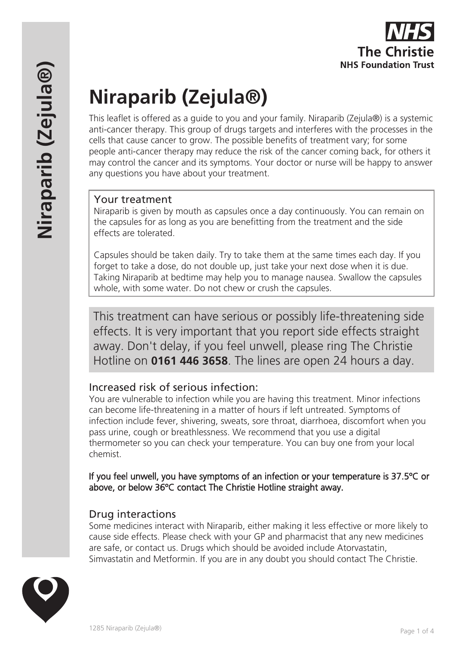# **Niraparib (Zejula®)**

This leaflet is offered as a guide to you and your family. Niraparib (Zejula®) is a systemic anti-cancer therapy. This group of drugs targets and interferes with the processes in the cells that cause cancer to grow. The possible benefits of treatment vary; for some people anti-cancer therapy may reduce the risk of the cancer coming back, for others it may control the cancer and its symptoms. Your doctor or nurse will be happy to answer any questions you have about your treatment.

## Your treatment

Niraparib is given by mouth as capsules once a day continuously. You can remain on the capsules for as long as you are benefitting from the treatment and the side effects are tolerated.

Capsules should be taken daily. Try to take them at the same times each day. If you forget to take a dose, do not double up, just take your next dose when it is due. Taking Niraparib at bedtime may help you to manage nausea. Swallow the capsules whole, with some water. Do not chew or crush the capsules.

This treatment can have serious or possibly life-threatening side effects. It is very important that you report side effects straight away. Don't delay, if you feel unwell, please ring The Christie Hotline on **0161 446 3658**. The lines are open 24 hours a day.

## Increased risk of serious infection:

You are vulnerable to infection while you are having this treatment. Minor infections can become life-threatening in a matter of hours if left untreated. Symptoms of infection include fever, shivering, sweats, sore throat, diarrhoea, discomfort when you pass urine, cough or breathlessness. We recommend that you use a digital thermometer so you can check your temperature. You can buy one from your local chemist.

If you feel unwell, you have symptoms of an infection or your temperature is 37.5ºC or above, or below 36ºC contact The Christie Hotline straight away.

## Drug interactions

Some medicines interact with Niraparib, either making it less effective or more likely to cause side effects. Please check with your GP and pharmacist that any new medicines are safe, or contact us. Drugs which should be avoided include Atorvastatin, Simvastatin and Metformin. If you are in any doubt you should contact The Christie.

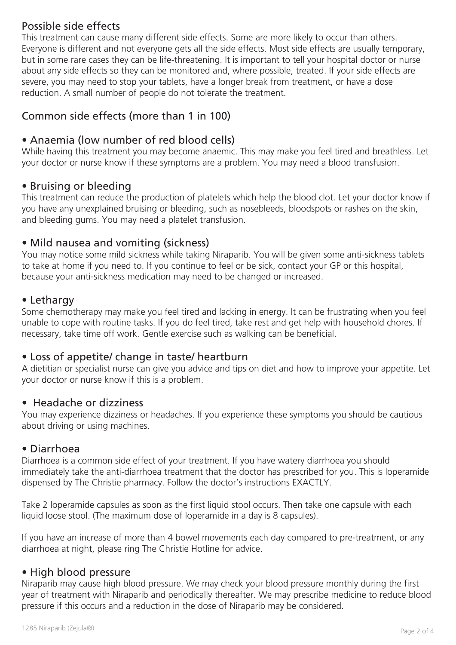## Possible side effects

This treatment can cause many different side effects. Some are more likely to occur than others. Everyone is different and not everyone gets all the side effects. Most side effects are usually temporary, but in some rare cases they can be life-threatening. It is important to tell your hospital doctor or nurse about any side effects so they can be monitored and, where possible, treated. If your side effects are severe, you may need to stop your tablets, have a longer break from treatment, or have a dose reduction. A small number of people do not tolerate the treatment.

# Common side effects (more than 1 in 100)

## • Anaemia (low number of red blood cells)

While having this treatment you may become anaemic. This may make you feel tired and breathless. Let your doctor or nurse know if these symptoms are a problem. You may need a blood transfusion.

#### • Bruising or bleeding

This treatment can reduce the production of platelets which help the blood clot. Let your doctor know if you have any unexplained bruising or bleeding, such as nosebleeds, bloodspots or rashes on the skin, and bleeding gums. You may need a platelet transfusion.

#### • Mild nausea and vomiting (sickness)

You may notice some mild sickness while taking Niraparib. You will be given some anti-sickness tablets to take at home if you need to. If you continue to feel or be sick, contact your GP or this hospital, because your anti-sickness medication may need to be changed or increased.

#### • Lethargy

Some chemotherapy may make you feel tired and lacking in energy. It can be frustrating when you feel unable to cope with routine tasks. If you do feel tired, take rest and get help with household chores. If necessary, take time off work. Gentle exercise such as walking can be beneficial.

## • Loss of appetite/ change in taste/ heartburn

A dietitian or specialist nurse can give you advice and tips on diet and how to improve your appetite. Let your doctor or nurse know if this is a problem.

#### • Headache or dizziness

You may experience dizziness or headaches. If you experience these symptoms you should be cautious about driving or using machines.

#### • Diarrhoea

Diarrhoea is a common side effect of your treatment. If you have watery diarrhoea you should immediately take the anti-diarrhoea treatment that the doctor has prescribed for you. This is loperamide dispensed by The Christie pharmacy. Follow the doctor's instructions EXACTLY.

Take 2 loperamide capsules as soon as the first liquid stool occurs. Then take one capsule with each liquid loose stool. (The maximum dose of loperamide in a day is 8 capsules).

If you have an increase of more than 4 bowel movements each day compared to pre-treatment, or any diarrhoea at night, please ring The Christie Hotline for advice.

#### • High blood pressure

Niraparib may cause high blood pressure. We may check your blood pressure monthly during the first year of treatment with Niraparib and periodically thereafter. We may prescribe medicine to reduce blood pressure if this occurs and a reduction in the dose of Niraparib may be considered.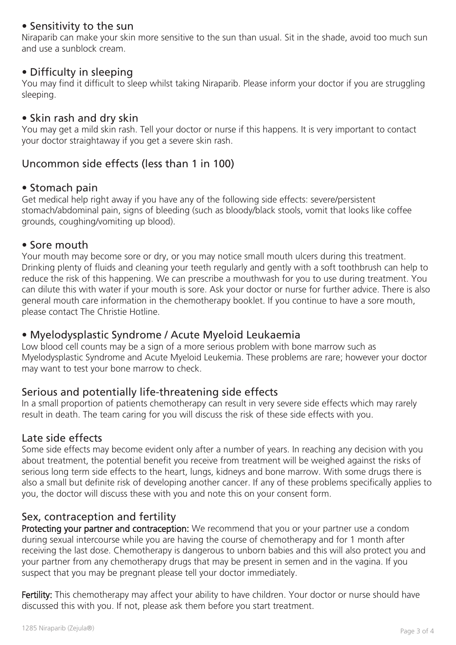#### • Sensitivity to the sun

Niraparib can make your skin more sensitive to the sun than usual. Sit in the shade, avoid too much sun and use a sunblock cream.

#### • Difficulty in sleeping

You may find it difficult to sleep whilst taking Niraparib. Please inform your doctor if you are struggling sleeping.

#### • Skin rash and dry skin

You may get a mild skin rash. Tell your doctor or nurse if this happens. It is very important to contact your doctor straightaway if you get a severe skin rash.

## Uncommon side effects (less than 1 in 100)

#### • Stomach pain

Get medical help right away if you have any of the following side effects: severe/persistent stomach/abdominal pain, signs of bleeding (such as bloody/black stools, vomit that looks like coffee grounds, coughing/vomiting up blood).

#### • Sore mouth

Your mouth may become sore or dry, or you may notice small mouth ulcers during this treatment. Drinking plenty of fluids and cleaning your teeth regularly and gently with a soft toothbrush can help to reduce the risk of this happening. We can prescribe a mouthwash for you to use during treatment. You can dilute this with water if your mouth is sore. Ask your doctor or nurse for further advice. There is also general mouth care information in the chemotherapy booklet. If you continue to have a sore mouth, please contact The Christie Hotline.

#### • Myelodysplastic Syndrome / Acute Myeloid Leukaemia

Low blood cell counts may be a sign of a more serious problem with bone marrow such as Myelodysplastic Syndrome and Acute Myeloid Leukemia. These problems are rare; however your doctor may want to test your bone marrow to check.

## Serious and potentially life-threatening side effects

In a small proportion of patients chemotherapy can result in very severe side effects which may rarely result in death. The team caring for you will discuss the risk of these side effects with you.

#### Late side effects

Some side effects may become evident only after a number of years. In reaching any decision with you about treatment, the potential benefit you receive from treatment will be weighed against the risks of serious long term side effects to the heart, lungs, kidneys and bone marrow. With some drugs there is also a small but definite risk of developing another cancer. If any of these problems specifically applies to you, the doctor will discuss these with you and note this on your consent form.

## Sex, contraception and fertility

Protecting your partner and contraception: We recommend that you or your partner use a condom during sexual intercourse while you are having the course of chemotherapy and for 1 month after receiving the last dose. Chemotherapy is dangerous to unborn babies and this will also protect you and your partner from any chemotherapy drugs that may be present in semen and in the vagina. If you suspect that you may be pregnant please tell your doctor immediately.

Fertility: This chemotherapy may affect your ability to have children. Your doctor or nurse should have discussed this with you. If not, please ask them before you start treatment.